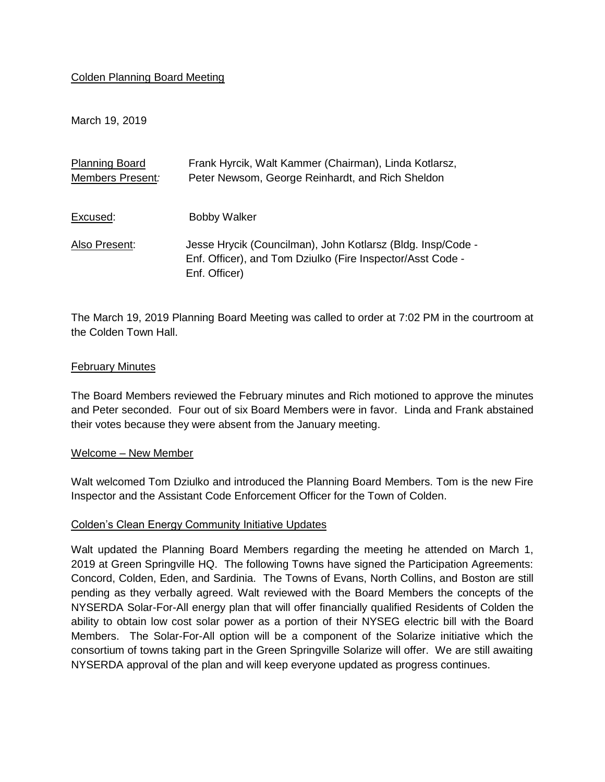### Colden Planning Board Meeting

March 19, 2019

| <b>Planning Board</b> | Frank Hyrcik, Walt Kammer (Chairman), Linda Kotlarsz,                                                                                      |
|-----------------------|--------------------------------------------------------------------------------------------------------------------------------------------|
| Members Present:      | Peter Newsom, George Reinhardt, and Rich Sheldon                                                                                           |
| Excused:              | <b>Bobby Walker</b>                                                                                                                        |
| Also Present:         | Jesse Hrycik (Councilman), John Kotlarsz (Bldg. Insp/Code -<br>Enf. Officer), and Tom Dziulko (Fire Inspector/Asst Code -<br>Enf. Officer) |

The March 19, 2019 Planning Board Meeting was called to order at 7:02 PM in the courtroom at the Colden Town Hall.

#### February Minutes

The Board Members reviewed the February minutes and Rich motioned to approve the minutes and Peter seconded. Four out of six Board Members were in favor. Linda and Frank abstained their votes because they were absent from the January meeting.

#### Welcome – New Member

Walt welcomed Tom Dziulko and introduced the Planning Board Members. Tom is the new Fire Inspector and the Assistant Code Enforcement Officer for the Town of Colden.

#### Colden's Clean Energy Community Initiative Updates

Walt updated the Planning Board Members regarding the meeting he attended on March 1, 2019 at Green Springville HQ. The following Towns have signed the Participation Agreements: Concord, Colden, Eden, and Sardinia. The Towns of Evans, North Collins, and Boston are still pending as they verbally agreed. Walt reviewed with the Board Members the concepts of the NYSERDA Solar-For-All energy plan that will offer financially qualified Residents of Colden the ability to obtain low cost solar power as a portion of their NYSEG electric bill with the Board Members. The Solar-For-All option will be a component of the Solarize initiative which the consortium of towns taking part in the Green Springville Solarize will offer. We are still awaiting NYSERDA approval of the plan and will keep everyone updated as progress continues.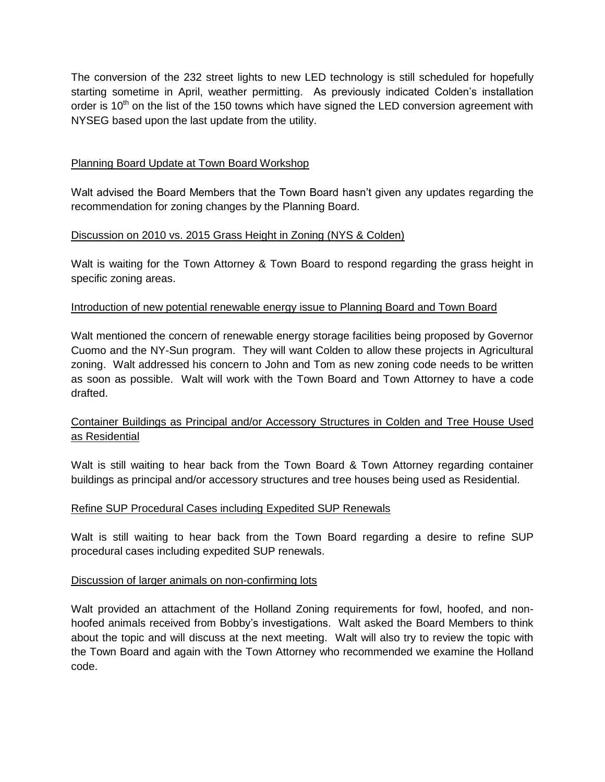The conversion of the 232 street lights to new LED technology is still scheduled for hopefully starting sometime in April, weather permitting. As previously indicated Colden's installation order is  $10<sup>th</sup>$  on the list of the 150 towns which have signed the LED conversion agreement with NYSEG based upon the last update from the utility.

### Planning Board Update at Town Board Workshop

Walt advised the Board Members that the Town Board hasn't given any updates regarding the recommendation for zoning changes by the Planning Board.

## Discussion on 2010 vs. 2015 Grass Height in Zoning (NYS & Colden)

Walt is waiting for the Town Attorney & Town Board to respond regarding the grass height in specific zoning areas.

### Introduction of new potential renewable energy issue to Planning Board and Town Board

Walt mentioned the concern of renewable energy storage facilities being proposed by Governor Cuomo and the NY-Sun program. They will want Colden to allow these projects in Agricultural zoning. Walt addressed his concern to John and Tom as new zoning code needs to be written as soon as possible. Walt will work with the Town Board and Town Attorney to have a code drafted.

# Container Buildings as Principal and/or Accessory Structures in Colden and Tree House Used as Residential

Walt is still waiting to hear back from the Town Board & Town Attorney regarding container buildings as principal and/or accessory structures and tree houses being used as Residential.

### Refine SUP Procedural Cases including Expedited SUP Renewals

Walt is still waiting to hear back from the Town Board regarding a desire to refine SUP procedural cases including expedited SUP renewals.

### Discussion of larger animals on non-confirming lots

Walt provided an attachment of the Holland Zoning requirements for fowl, hoofed, and nonhoofed animals received from Bobby's investigations. Walt asked the Board Members to think about the topic and will discuss at the next meeting. Walt will also try to review the topic with the Town Board and again with the Town Attorney who recommended we examine the Holland code.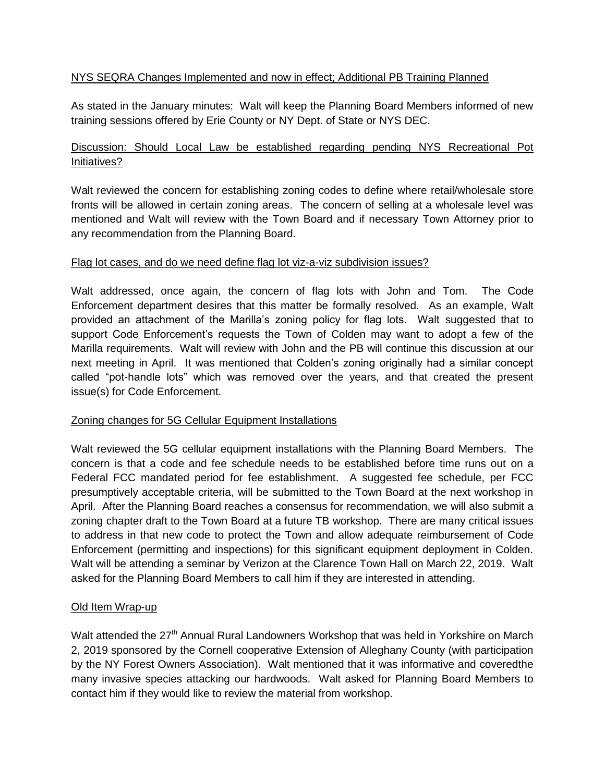## NYS SEQRA Changes Implemented and now in effect; Additional PB Training Planned

As stated in the January minutes: Walt will keep the Planning Board Members informed of new training sessions offered by Erie County or NY Dept. of State or NYS DEC.

# Discussion: Should Local Law be established regarding pending NYS Recreational Pot Initiatives?

Walt reviewed the concern for establishing zoning codes to define where retail/wholesale store fronts will be allowed in certain zoning areas. The concern of selling at a wholesale level was mentioned and Walt will review with the Town Board and if necessary Town Attorney prior to any recommendation from the Planning Board.

#### Flag lot cases, and do we need define flag lot viz-a-viz subdivision issues?

Walt addressed, once again, the concern of flag lots with John and Tom. The Code Enforcement department desires that this matter be formally resolved. As an example, Walt provided an attachment of the Marilla's zoning policy for flag lots. Walt suggested that to support Code Enforcement's requests the Town of Colden may want to adopt a few of the Marilla requirements. Walt will review with John and the PB will continue this discussion at our next meeting in April. It was mentioned that Colden's zoning originally had a similar concept called "pot-handle lots" which was removed over the years, and that created the present issue(s) for Code Enforcement.

### Zoning changes for 5G Cellular Equipment Installations

Walt reviewed the 5G cellular equipment installations with the Planning Board Members. The concern is that a code and fee schedule needs to be established before time runs out on a Federal FCC mandated period for fee establishment. A suggested fee schedule, per FCC presumptively acceptable criteria, will be submitted to the Town Board at the next workshop in April. After the Planning Board reaches a consensus for recommendation, we will also submit a zoning chapter draft to the Town Board at a future TB workshop. There are many critical issues to address in that new code to protect the Town and allow adequate reimbursement of Code Enforcement (permitting and inspections) for this significant equipment deployment in Colden. Walt will be attending a seminar by Verizon at the Clarence Town Hall on March 22, 2019. Walt asked for the Planning Board Members to call him if they are interested in attending.

### Old Item Wrap-up

Walt attended the 27<sup>th</sup> Annual Rural Landowners Workshop that was held in Yorkshire on March 2, 2019 sponsored by the Cornell cooperative Extension of Alleghany County (with participation by the NY Forest Owners Association). Walt mentioned that it was informative and coveredthe many invasive species attacking our hardwoods. Walt asked for Planning Board Members to contact him if they would like to review the material from workshop.